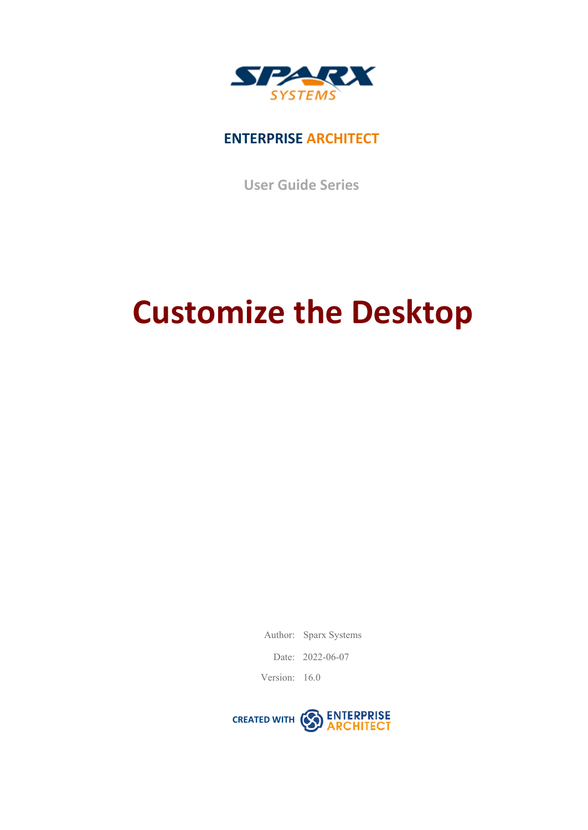

### **ENTERPRISE ARCHITECT**

**User Guide Series**

# **Customize the Desktop**

Author: Sparx Systems

Date: 2022-06-07

Version: 16.0

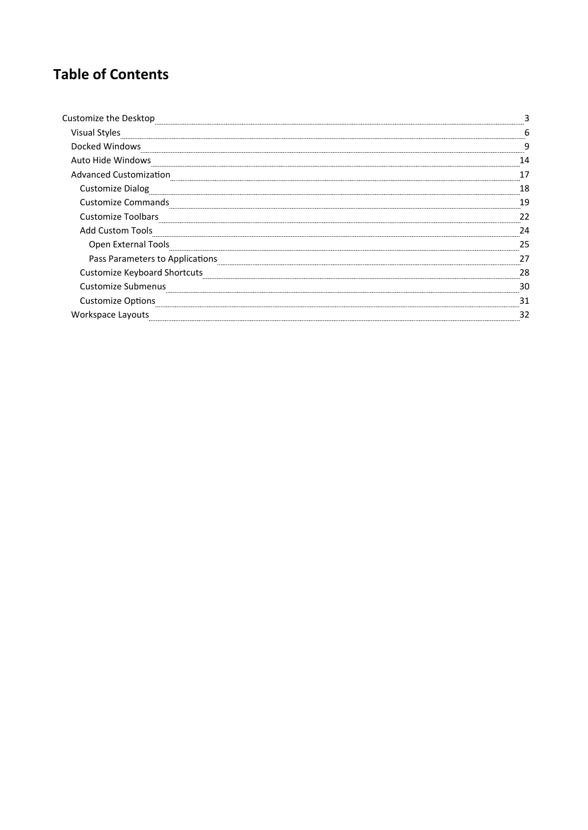### **Table of Contents**

| Customize the Desktop               |     |
|-------------------------------------|-----|
| <b>Visual Styles</b>                |     |
| Docked Windows                      |     |
| Auto Hide Windows                   | 14  |
| <b>Advanced Customization</b>       |     |
| <b>Customize Dialog</b>             | 18  |
| <b>Customize Commands</b>           | 1 C |
| <b>Customize Toolbars</b>           |     |
| <b>Add Custom Tools</b>             |     |
| Open External Tools                 | つロ  |
| Pass Parameters to Applications     |     |
| <b>Customize Keyboard Shortcuts</b> | 28  |
| Customize Submenus                  | 30  |
| <b>Customize Options</b>            | 31  |
| Workspace Layouts                   |     |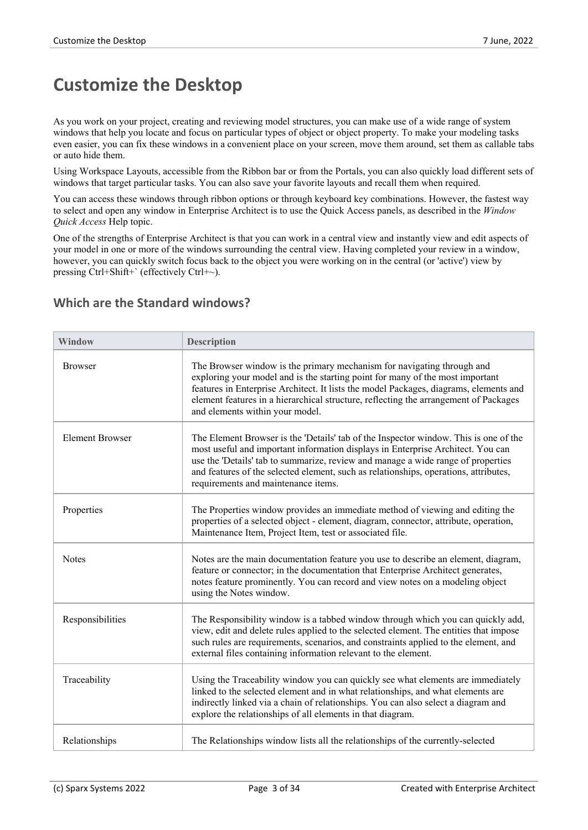### **Customize the Desktop**

As you work on your project, creating and reviewing model structures, you can make use of a wide range of system windows that help you locate and focus on particular types of object or object property. To make your modeling tasks even easier, you can fix these windows in a convenient place on your screen, move them around, set them as callable tabs or auto hide them.

Using Workspace Layouts, accessible from the Ribbon bar or from the Portals, you can also quickly load different sets of windows that target particular tasks. You can also save your favorite layouts and recall them when required.

You can access these windows through ribbon options orthrough keyboard key combinations. However, the fastest way to select and open any window in Enterprise Architect is to use the Quick Access panels, as described in the *Window Quick Access* Help topic.

One of the strengths of Enterprise Architect is that you can work in a central view and instantly view and edit aspects of your model in one or more of the windows surrounding the central view. Having completed your review in a window, however, you can quickly switch focus back to the object you were working on in the central (or 'active') view by pressing  $Ctrl+Shift+$ ` (effectively  $Ctrl+ \sim$ ).

| <b>Window</b>          | <b>Description</b>                                                                                                                                                                                                                                                                                                                                                                         |
|------------------------|--------------------------------------------------------------------------------------------------------------------------------------------------------------------------------------------------------------------------------------------------------------------------------------------------------------------------------------------------------------------------------------------|
| <b>Browser</b>         | The Browser window is the primary mechanism for navigating through and<br>exploring your model and is the starting point for many of the most important<br>features in Enterprise Architect. It lists the model Packages, diagrams, elements and<br>element features in a hierarchical structure, reflecting the arrangement of Packages<br>and elements within your model.                |
| <b>Element Browser</b> | The Element Browser is the 'Details' tab of the Inspector window. This is one of the<br>most useful and important information displays in Enterprise Architect. You can<br>use the 'Details' tab to summarize, review and manage a wide range of properties<br>and features of the selected element, such as relationships, operations, attributes,<br>requirements and maintenance items. |
| Properties             | The Properties window provides an immediate method of viewing and editing the<br>properties of a selected object - element, diagram, connector, attribute, operation,<br>Maintenance Item, Project Item, test or associated file.                                                                                                                                                          |
| <b>Notes</b>           | Notes are the main documentation feature you use to describe an element, diagram,<br>feature or connector; in the documentation that Enterprise Architect generates,<br>notes feature prominently. You can record and view notes on a modeling object<br>using the Notes window.                                                                                                           |
| Responsibilities       | The Responsibility window is a tabbed window through which you can quickly add,<br>view, edit and delete rules applied to the selected element. The entities that impose<br>such rules are requirements, scenarios, and constraints applied to the element, and<br>external files containing information relevant to the element.                                                          |
| Traceability           | Using the Traceability window you can quickly see what elements are immediately<br>linked to the selected element and in what relationships, and what elements are<br>indirectly linked via a chain of relationships. You can also select a diagram and<br>explore the relationships of all elements in that diagram.                                                                      |
| Relationships          | The Relationships window lists all the relationships of the currently-selected                                                                                                                                                                                                                                                                                                             |

#### **Which are the Standard windows?**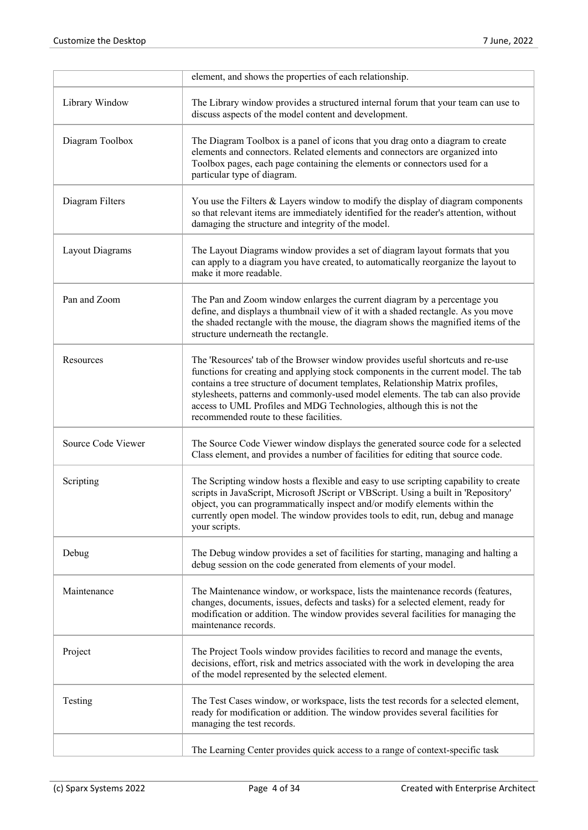|                    | element, and shows the properties of each relationship.                                                                                                                                                                                                                                                                                                                                                                                                       |
|--------------------|---------------------------------------------------------------------------------------------------------------------------------------------------------------------------------------------------------------------------------------------------------------------------------------------------------------------------------------------------------------------------------------------------------------------------------------------------------------|
| Library Window     | The Library window provides a structured internal forum that your team can use to<br>discuss aspects of the model content and development.                                                                                                                                                                                                                                                                                                                    |
| Diagram Toolbox    | The Diagram Toolbox is a panel of icons that you drag onto a diagram to create<br>elements and connectors. Related elements and connectors are organized into<br>Toolbox pages, each page containing the elements or connectors used for a<br>particular type of diagram.                                                                                                                                                                                     |
| Diagram Filters    | You use the Filters & Layers window to modify the display of diagram components<br>so that relevant items are immediately identified for the reader's attention, without<br>damaging the structure and integrity of the model.                                                                                                                                                                                                                                |
| Layout Diagrams    | The Layout Diagrams window provides a set of diagram layout formats that you<br>can apply to a diagram you have created, to automatically reorganize the layout to<br>make it more readable.                                                                                                                                                                                                                                                                  |
| Pan and Zoom       | The Pan and Zoom window enlarges the current diagram by a percentage you<br>define, and displays a thumbnail view of it with a shaded rectangle. As you move<br>the shaded rectangle with the mouse, the diagram shows the magnified items of the<br>structure underneath the rectangle.                                                                                                                                                                      |
| Resources          | The 'Resources' tab of the Browser window provides useful shortcuts and re-use<br>functions for creating and applying stock components in the current model. The tab<br>contains a tree structure of document templates, Relationship Matrix profiles,<br>stylesheets, patterns and commonly-used model elements. The tab can also provide<br>access to UML Profiles and MDG Technologies, although this is not the<br>recommended route to these facilities. |
| Source Code Viewer | The Source Code Viewer window displays the generated source code for a selected<br>Class element, and provides a number of facilities for editing that source code.                                                                                                                                                                                                                                                                                           |
| Scripting          | The Scripting window hosts a flexible and easy to use scripting capability to create<br>scripts in JavaScript, Microsoft JScript or VBScript. Using a built in 'Repository'<br>object, you can programmatically inspect and/or modify elements within the<br>currently open model. The window provides tools to edit, run, debug and manage<br>your scripts.                                                                                                  |
| Debug              | The Debug window provides a set of facilities for starting, managing and halting a<br>debug session on the code generated from elements of your model.                                                                                                                                                                                                                                                                                                        |
| Maintenance        | The Maintenance window, or workspace, lists the maintenance records (features,<br>changes, documents, issues, defects and tasks) for a selected element, ready for<br>modification or addition. The window provides several facilities for managing the<br>maintenance records.                                                                                                                                                                               |
| Project            | The Project Tools window provides facilities to record and manage the events,<br>decisions, effort, risk and metrics associated with the work in developing the area<br>of the model represented by the selected element.                                                                                                                                                                                                                                     |
| Testing            | The Test Cases window, or workspace, lists the test records for a selected element,<br>ready for modification or addition. The window provides several facilities for<br>managing the test records.                                                                                                                                                                                                                                                           |
|                    | The Learning Center provides quick access to a range of context-specific task                                                                                                                                                                                                                                                                                                                                                                                 |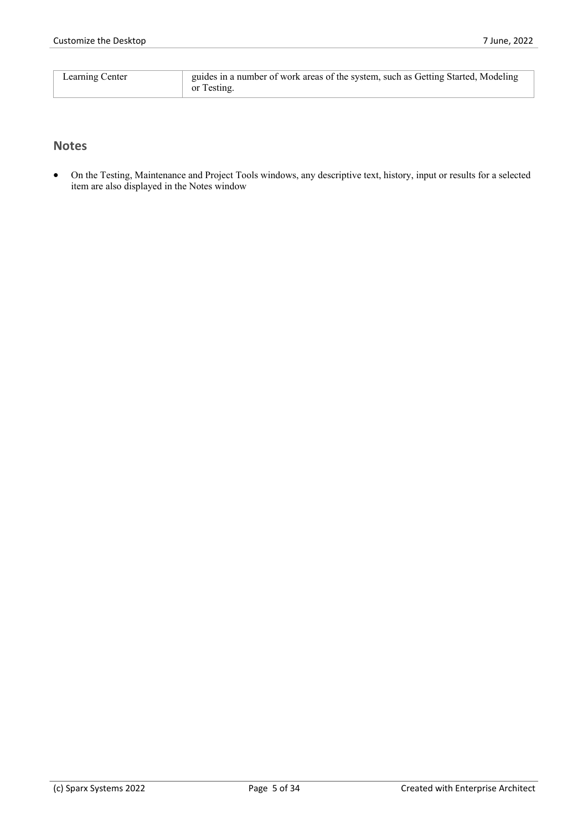| <b>Learning Center</b> | guides in a number of work areas of the system, such as Getting Started, Modeling |
|------------------------|-----------------------------------------------------------------------------------|
|                        |                                                                                   |
|                        |                                                                                   |
|                        | or Testing                                                                        |
|                        |                                                                                   |

#### **Notes**

· On the Testing, Maintenance and Project Tools windows, any descriptive text, history, input or results for a selected item are also displayed in the Notes window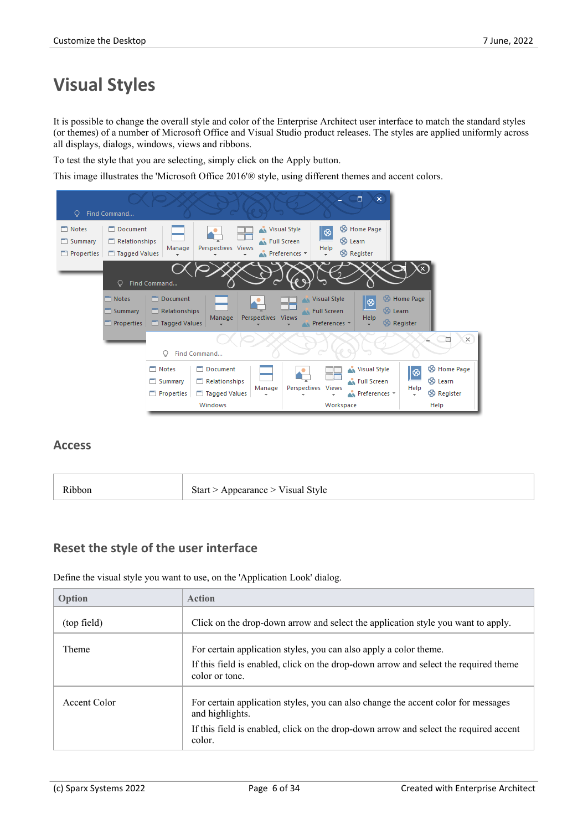### **Visual Styles**

It is possible to change the overall style and color of the Enterprise Architect user interface to match the standard styles (or themes) of a number of Microsoft Office and Visual Studio product releases. The styles are applied uniformly across all displays, dialogs, windows, views and ribbons.

To test the style that you are selecting, simply click on the Apply button.

This image illustrates the 'Microsoft Office 2016'® style, using different themes and accent colors.



#### **Access**

| Start > Appearance > Visual Style<br>nobor) |
|---------------------------------------------|
|---------------------------------------------|

#### **Reset the style of the user interface**

Define the visual style you want to use, on the 'Application Look' dialog.

| Option       | <b>Action</b>                                                                                                                                                               |
|--------------|-----------------------------------------------------------------------------------------------------------------------------------------------------------------------------|
| (top field)  | Click on the drop-down arrow and select the application style you want to apply.                                                                                            |
| <b>Theme</b> | For certain application styles, you can also apply a color theme.<br>If this field is enabled, click on the drop-down arrow and select the required theme<br>color or tone. |
| Accent Color | For certain application styles, you can also change the accent color for messages<br>and highlights.                                                                        |
|              | If this field is enabled, click on the drop-down arrow and select the required accent<br>color.                                                                             |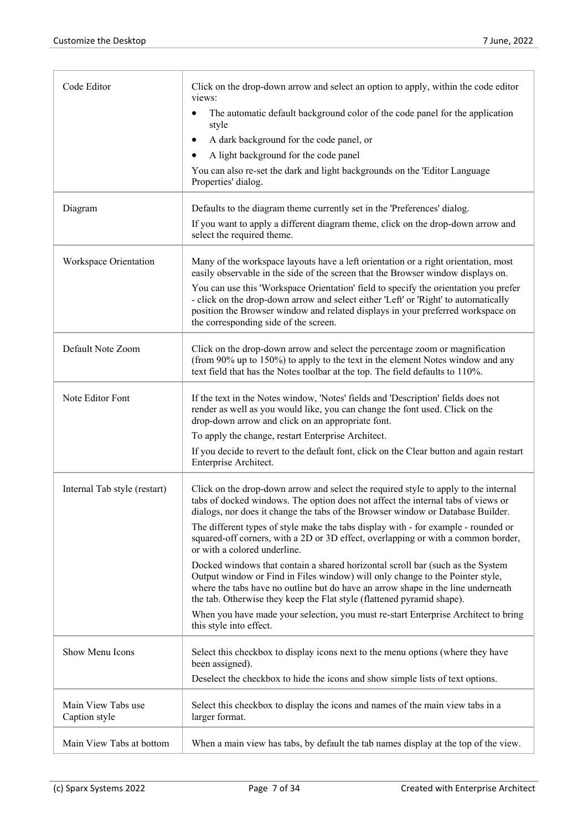| Code Editor                         | Click on the drop-down arrow and select an option to apply, within the code editor<br>views:                                                                                                                                                                                                                                  |
|-------------------------------------|-------------------------------------------------------------------------------------------------------------------------------------------------------------------------------------------------------------------------------------------------------------------------------------------------------------------------------|
|                                     | The automatic default background color of the code panel for the application<br>$\bullet$<br>style                                                                                                                                                                                                                            |
|                                     | A dark background for the code panel, or<br>$\bullet$                                                                                                                                                                                                                                                                         |
|                                     | A light background for the code panel<br>$\bullet$                                                                                                                                                                                                                                                                            |
|                                     | You can also re-set the dark and light backgrounds on the 'Editor Language<br>Properties' dialog.                                                                                                                                                                                                                             |
| Diagram                             | Defaults to the diagram theme currently set in the 'Preferences' dialog.                                                                                                                                                                                                                                                      |
|                                     | If you want to apply a different diagram theme, click on the drop-down arrow and<br>select the required theme.                                                                                                                                                                                                                |
| Workspace Orientation               | Many of the workspace layouts have a left orientation or a right orientation, most<br>easily observable in the side of the screen that the Browser window displays on.                                                                                                                                                        |
|                                     | You can use this 'Workspace Orientation' field to specify the orientation you prefer<br>- click on the drop-down arrow and select either 'Left' or 'Right' to automatically<br>position the Browser window and related displays in your preferred workspace on<br>the corresponding side of the screen.                       |
| Default Note Zoom                   | Click on the drop-down arrow and select the percentage zoom or magnification<br>(from 90% up to 150%) to apply to the text in the element Notes window and any<br>text field that has the Notes toolbar at the top. The field defaults to 110%.                                                                               |
| Note Editor Font                    | If the text in the Notes window, 'Notes' fields and 'Description' fields does not<br>render as well as you would like, you can change the font used. Click on the<br>drop-down arrow and click on an appropriate font.                                                                                                        |
|                                     | To apply the change, restart Enterprise Architect.                                                                                                                                                                                                                                                                            |
|                                     | If you decide to revert to the default font, click on the Clear button and again restart<br>Enterprise Architect.                                                                                                                                                                                                             |
| Internal Tab style (restart)        | Click on the drop-down arrow and select the required style to apply to the internal<br>tabs of docked windows. The option does not affect the internal tabs of views or<br>dialogs, nor does it change the tabs of the Browser window or Database Builder.                                                                    |
|                                     | The different types of style make the tabs display with - for example - rounded or<br>squared-off corners, with a 2D or 3D effect, overlapping or with a common border,<br>or with a colored underline.                                                                                                                       |
|                                     | Docked windows that contain a shared horizontal scroll bar (such as the System<br>Output window or Find in Files window) will only change to the Pointer style,<br>where the tabs have no outline but do have an arrow shape in the line underneath<br>the tab. Otherwise they keep the Flat style (flattened pyramid shape). |
|                                     | When you have made your selection, you must re-start Enterprise Architect to bring<br>this style into effect.                                                                                                                                                                                                                 |
| Show Menu Icons                     | Select this checkbox to display icons next to the menu options (where they have<br>been assigned).                                                                                                                                                                                                                            |
|                                     | Deselect the checkbox to hide the icons and show simple lists of text options.                                                                                                                                                                                                                                                |
| Main View Tabs use<br>Caption style | Select this checkbox to display the icons and names of the main view tabs in a<br>larger format.                                                                                                                                                                                                                              |
| Main View Tabs at bottom            | When a main view has tabs, by default the tab names display at the top of the view.                                                                                                                                                                                                                                           |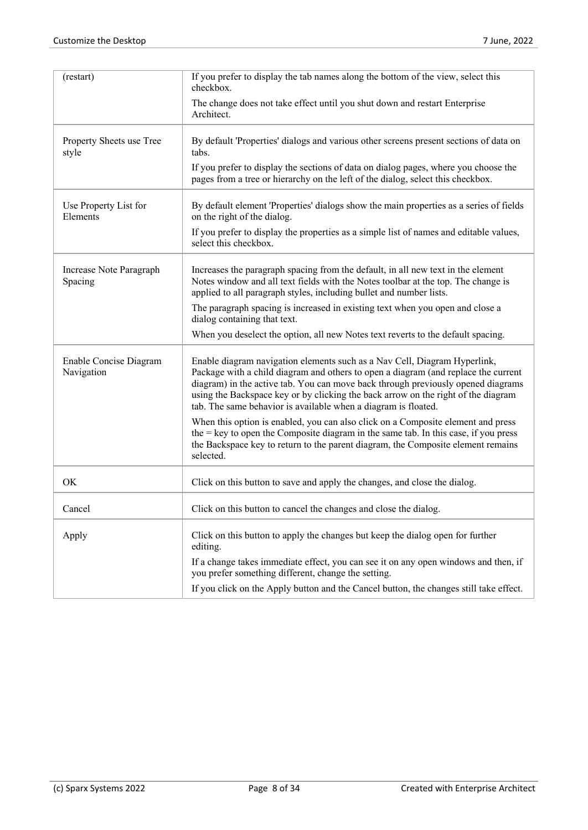| (restart)                            | If you prefer to display the tab names along the bottom of the view, select this<br>checkbox.                                                                                                                                                                                                                                                                                                              |
|--------------------------------------|------------------------------------------------------------------------------------------------------------------------------------------------------------------------------------------------------------------------------------------------------------------------------------------------------------------------------------------------------------------------------------------------------------|
|                                      | The change does not take effect until you shut down and restart Enterprise<br>Architect.                                                                                                                                                                                                                                                                                                                   |
| Property Sheets use Tree<br>style    | By default 'Properties' dialogs and various other screens present sections of data on<br>tabs.                                                                                                                                                                                                                                                                                                             |
|                                      | If you prefer to display the sections of data on dialog pages, where you choose the<br>pages from a tree or hierarchy on the left of the dialog, select this checkbox.                                                                                                                                                                                                                                     |
| Use Property List for<br>Elements    | By default element 'Properties' dialogs show the main properties as a series of fields<br>on the right of the dialog.                                                                                                                                                                                                                                                                                      |
|                                      | If you prefer to display the properties as a simple list of names and editable values,<br>select this checkbox.                                                                                                                                                                                                                                                                                            |
| Increase Note Paragraph<br>Spacing   | Increases the paragraph spacing from the default, in all new text in the element<br>Notes window and all text fields with the Notes toolbar at the top. The change is<br>applied to all paragraph styles, including bullet and number lists.                                                                                                                                                               |
|                                      | The paragraph spacing is increased in existing text when you open and close a<br>dialog containing that text.                                                                                                                                                                                                                                                                                              |
|                                      | When you deselect the option, all new Notes text reverts to the default spacing.                                                                                                                                                                                                                                                                                                                           |
| Enable Concise Diagram<br>Navigation | Enable diagram navigation elements such as a Nav Cell, Diagram Hyperlink,<br>Package with a child diagram and others to open a diagram (and replace the current<br>diagram) in the active tab. You can move back through previously opened diagrams<br>using the Backspace key or by clicking the back arrow on the right of the diagram<br>tab. The same behavior is available when a diagram is floated. |
|                                      | When this option is enabled, you can also click on a Composite element and press<br>the $=$ key to open the Composite diagram in the same tab. In this case, if you press<br>the Backspace key to return to the parent diagram, the Composite element remains<br>selected.                                                                                                                                 |
| OK                                   | Click on this button to save and apply the changes, and close the dialog.                                                                                                                                                                                                                                                                                                                                  |
| Cancel                               | Click on this button to cancel the changes and close the dialog.                                                                                                                                                                                                                                                                                                                                           |
| Apply                                | Click on this button to apply the changes but keep the dialog open for further<br>editing.                                                                                                                                                                                                                                                                                                                 |
|                                      | If a change takes immediate effect, you can see it on any open windows and then, if<br>you prefer something different, change the setting.                                                                                                                                                                                                                                                                 |
|                                      | If you click on the Apply button and the Cancel button, the changes still take effect.                                                                                                                                                                                                                                                                                                                     |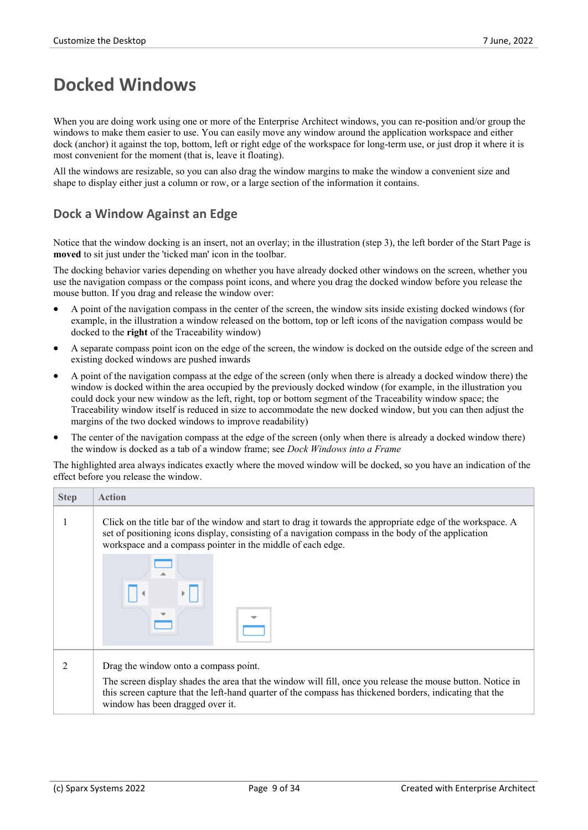### **Docked Windows**

When you are doing work using one or more of the Enterprise Architect windows, you can re-position and/or group the windows to make them easier to use. You can easily move any window around the application workspace and either dock (anchor) it against the top, bottom, left or right edge of the workspace for long-term use, or just drop it where it is most convenient for the moment (that is, leave it floating).

All the windows are resizable, so you can also drag the window margins to make the window a convenient size and shape to display either justa column or row, or a large section of the information it contains.

#### **Dock a Window Against an Edge**

Notice that the window docking is an insert, notan overlay; in the illustration (step 3), the left border of the Start Page is **moved** to sit just under the 'ticked man' icon in the toolbar.

The docking behavior varies depending on whether you have already docked other windows on the screen, whether you use the navigation compass orthe compass point icons, and where you drag the docked window before you release the mouse button. If you drag and release the window over:

- A point of the navigation compass in the center of the screen, the window sits inside existing docked windows (for example, in the illustration a window released on the bottom, top or left icons of the navigation compass would be docked to the **right** of the Traceability window)
- · A separate compass point icon on the edge of the screen, the window is docked on the outside edge of the screen and existing docked windows are pushed inwards
- A point of the navigation compass at the edge of the screen (only when there is already a docked window there) the window is docked within the area occupied by the previously docked window (for example, in the illustration you could dock your new window as the left, right, top or bottom segment of the Traceability window space; the Traceability window itself is reduced in size to accommodate the new docked window, but you can then adjust the margins of the two docked windows to improve readability)
- The center of the navigation compass at the edge of the screen (only when there is already a docked window there) the window is docked as a tab of a window frame; see *Dock Windows into a Frame*

The highlighted area always indicates exactly where the moved window will be docked, so you have an indication of the effect before you release the window.

| <b>Step</b> | <b>Action</b>                                                                                                                                                                                                                                                                                       |  |  |
|-------------|-----------------------------------------------------------------------------------------------------------------------------------------------------------------------------------------------------------------------------------------------------------------------------------------------------|--|--|
|             | Click on the title bar of the window and start to drag it towards the appropriate edge of the workspace. A<br>set of positioning icons display, consisting of a navigation compass in the body of the application<br>workspace and a compass pointer in the middle of each edge.                    |  |  |
|             |                                                                                                                                                                                                                                                                                                     |  |  |
|             | Drag the window onto a compass point.<br>The screen display shades the area that the window will fill, once you release the mouse button. Notice in<br>this screen capture that the left-hand quarter of the compass has thickened borders, indicating that the<br>window has been dragged over it. |  |  |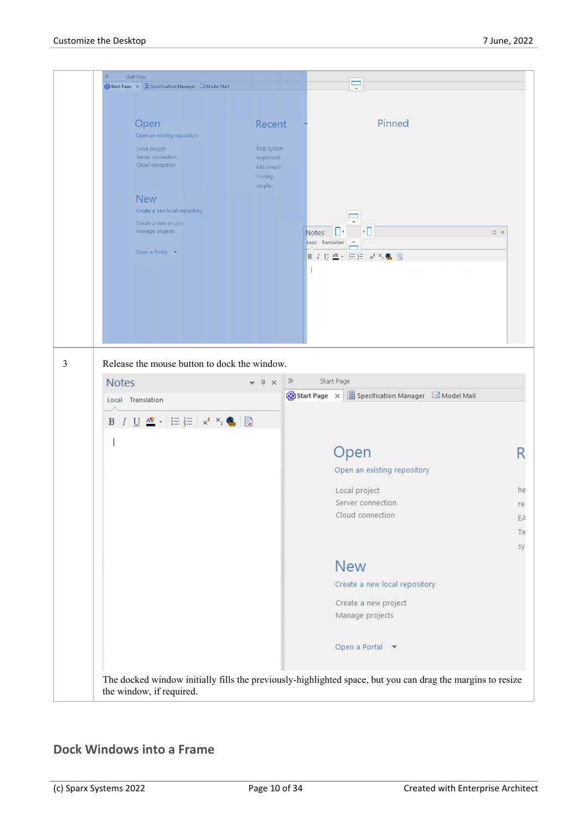

#### **Dock Windows into a Frame**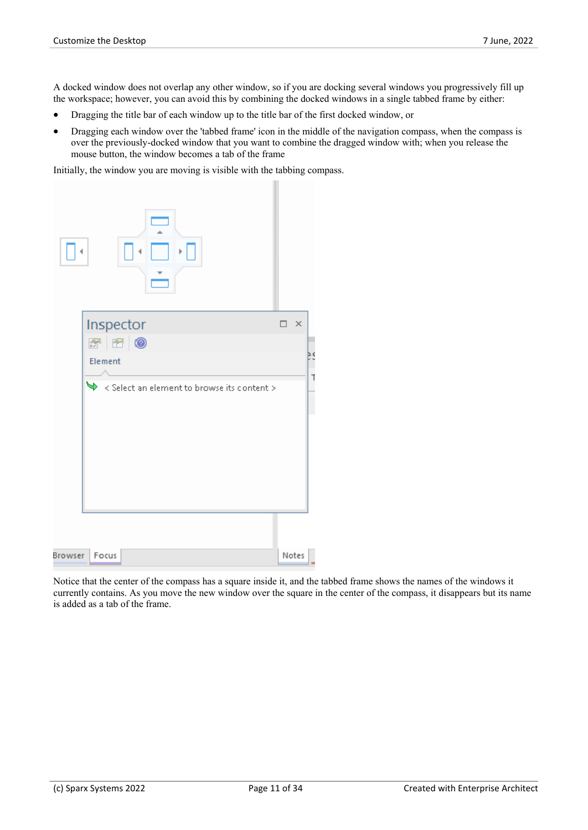A docked window does not overlap any other window, so if you are docking several windows you progressively fill up the workspace; however, you can avoid this by combining the docked windows in a single tabbed frame by either:

- · Dragging the title bar of each window up to the title bar of the first docked window, or
- · Dragging each window over the 'tabbed frame' icon in the middle of the navigation compass, when the compass is over the previously-docked window that you want to combine the dragged window with; when you release the mouse button, the window becomes a tab of the frame

Initially, the window you are moving is visible with the tabbing compass.

|         | F.                                                          |               |   |
|---------|-------------------------------------------------------------|---------------|---|
|         | Inspector                                                   | $\times$<br>⊓ |   |
|         | 700                                                         |               |   |
|         | Element                                                     |               | т |
|         | $\blacklozenge$ < Select an element to browse its content > |               |   |
|         |                                                             |               |   |
| Browser | Focus                                                       | Notes         |   |

Notice that the center of the compass has a square inside it, and the tabbed frame shows the names of the windows it currently contains. As you move the new window over the square in the center of the compass, it disappears but its name is added as a tab of the frame.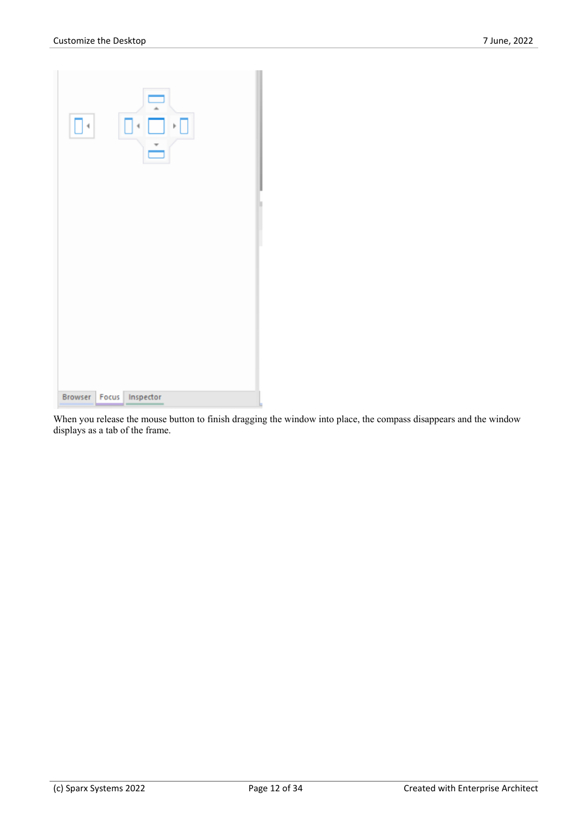| $\left  \cdot \right $ | $\equiv$<br>$\blacktriangleright$ $\Box$ |
|------------------------|------------------------------------------|
|                        |                                          |
|                        | Browser Focus Inspector                  |

When you release the mouse button to finish dragging the window into place, the compass disappears and the window displays as a tab of the frame.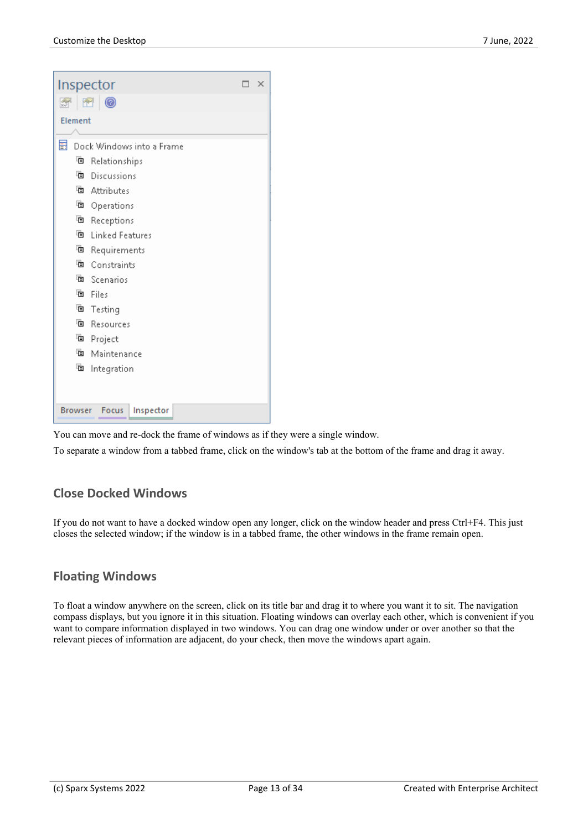| Inspector                            |                           |  | × |  |  |  |
|--------------------------------------|---------------------------|--|---|--|--|--|
| <b>A</b> 图                           | $\circ$                   |  |   |  |  |  |
| Element                              |                           |  |   |  |  |  |
|                                      |                           |  |   |  |  |  |
| 畐                                    | Dock Windows into a Frame |  |   |  |  |  |
| đ                                    | Relationships             |  |   |  |  |  |
|                                      | <sup>l</sup> Discussions  |  |   |  |  |  |
|                                      | <sup>T</sup> Attributes   |  |   |  |  |  |
|                                      | <sup>看</sup> Operations   |  |   |  |  |  |
|                                      | <sup>看</sup> Receptions   |  |   |  |  |  |
| 盾                                    | <b>Linked Features</b>    |  |   |  |  |  |
|                                      | <sup>看</sup> Requirements |  |   |  |  |  |
|                                      | <sup>国</sup> Constraints  |  |   |  |  |  |
|                                      | <sup>l</sup> e Scenarios  |  |   |  |  |  |
|                                      | 看 Files                   |  |   |  |  |  |
| 咱                                    | Testing                   |  |   |  |  |  |
|                                      | <sup>l</sup> e Resources  |  |   |  |  |  |
|                                      | <sup>看</sup> Project      |  |   |  |  |  |
|                                      | <sup>T</sup> Maintenance  |  |   |  |  |  |
| đ                                    | Integration               |  |   |  |  |  |
|                                      |                           |  |   |  |  |  |
|                                      |                           |  |   |  |  |  |
| Focus<br>Inspector<br><b>Browser</b> |                           |  |   |  |  |  |

You can move and re-dock the frame of windows as if they were <sup>a</sup> single window.To separate <sup>a</sup> window from <sup>a</sup> tabbed frame, click on the window's tab at the bottom of the frame and drag it away.

#### **Close Docked Windows**

If you do not want to have a docked window open any longer, click on the window header and press Ctrl+F4. This just closes the selected window; if the window is in a tabbed frame, the other windows in the frame remain open.

#### **Floating Windows**

To float a window anywhere on the screen, click on its title bar and drag it to where you want it to sit. The navigation compass displays, but you ignore it in this situation. Floating windows can overlay each other, which is convenient if you want to compare information displayed in two windows. You can drag one window under or over another so that the relevant pieces of information are adjacent, do your check, then move the windows apart again.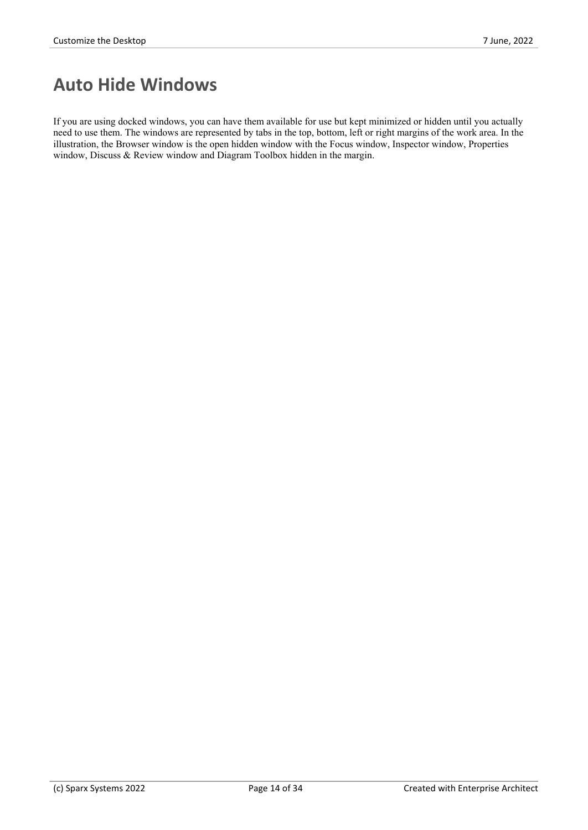### **Auto Hide Windows**

If you are using docked windows, you can have them available for use but kept minimized or hidden until you actually need to use them. The windows are represented by tabs in the top, bottom, left or right margins of the work area. In the illustration, the Browser window is the open hidden window with the Focus window, Inspector window, Properties window, Discuss & Review window and Diagram Toolbox hidden in the margin.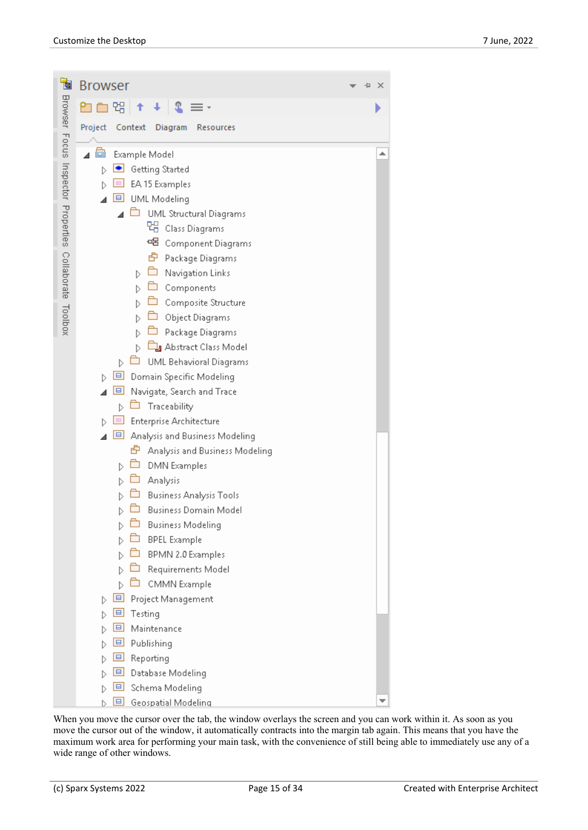| 恛                                                      | <b>Browser</b>                                      | × |
|--------------------------------------------------------|-----------------------------------------------------|---|
| Browser Focus Inspector Properties Collaborate Toolbox | 먭 <br>↑<br>$\downarrow$<br>北                        |   |
|                                                        | Project<br>Context<br>Diagram<br>Resources          |   |
|                                                        |                                                     |   |
|                                                        | Example Model                                       | ┻ |
|                                                        | Getting Started<br>D                                |   |
|                                                        | EA 15 Examples<br>$\Box$<br><b>UML Modeling</b>     |   |
|                                                        | Ò<br><b>UML Structural Diagrams</b>                 |   |
|                                                        | 먭 Class Diagrams                                    |   |
|                                                        | 98<br>Component Diagrams                            |   |
|                                                        | 由<br>Package Diagrams                               |   |
|                                                        | Navigation Links<br>D                               |   |
|                                                        | Components                                          |   |
|                                                        | Composite Structure                                 |   |
|                                                        | Object Diagrams                                     |   |
|                                                        | Package Diagrams                                    |   |
|                                                        | Abstract Class Model                                |   |
|                                                        | <b>UML Behavioral Diagrams</b><br>D                 |   |
|                                                        | 回<br>Domain Specific Modeling<br>Þ                  |   |
|                                                        | 旦<br>Navigate, Search and Trace                     |   |
|                                                        | Traceability<br>D<br><b>Enterprise Architecture</b> |   |
|                                                        | 回<br>Analysis and Business Modeling<br>◢            |   |
|                                                        | 由<br>Analysis and Business Modeling                 |   |
|                                                        | <b>DMN</b> Examples<br>D                            |   |
|                                                        | Analysis                                            |   |
|                                                        | <b>Business Analysis Tools</b>                      |   |
|                                                        | <b>Business Domain Model</b>                        |   |
|                                                        | <b>Business Modeling</b><br>D                       |   |
|                                                        | <b>BPEL Example</b>                                 |   |
|                                                        | BPMN 2.0 Examples                                   |   |
|                                                        | Requirements Model                                  |   |
|                                                        | CMMN Example                                        |   |
|                                                        | e<br>Project Management<br>D                        |   |
|                                                        | 므<br>Testing                                        |   |
|                                                        | $\blacksquare$<br>Maintenance<br>므                  |   |
|                                                        | Publishing<br>$\blacksquare$<br>Reporting           |   |
|                                                        | $\blacksquare$<br>Database Modeling                 |   |
|                                                        | $\blacksquare$<br>Schema Modeling                   |   |
|                                                        | $\Box$<br>Geospatial Modeling                       |   |

When you move the cursor over the tab, the window overlays the screen and you can work within it. As soon as you move the cursor out of the window, it automatically contracts into the margin tab again. This means that you have the maximum work area for performing your main task, with the convenience of still being able to immediately use any of a wide range of other windows.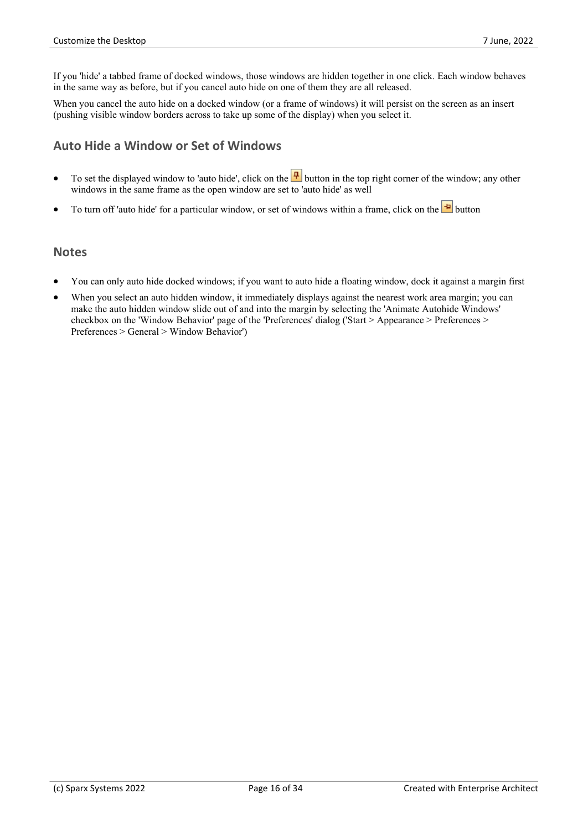If you 'hide' a tabbed frame of docked windows, those windows are hidden together in one click. Each window behaves in the same way as before, but if you cancel auto hide on one of them they are all released.

When you cancel the auto hide on a docked window (or a frame of windows) it will persist on the screen as an insert (pushing visible window borders across to take up some of the display) when you select it.

#### **Auto Hide a Window or Set of Windows**

- To set the displayed window to 'auto hide', click on the  $\boxed{\frac{1}{2}}$  button in the top right corner of the window; any other windows in the same frame as the open window are set to 'auto hide' as well
- To turn off 'auto hide' for a particular window, or set of windows within a frame, click on the  $\mathbf{P}$  button

#### **Notes**

- · You can only auto hide docked windows; if you want to auto hide a floating window, dock it against a margin first
- When you select an auto hidden window, it immediately displays against the nearest work area margin; you can make the auto hidden window slide out of and into the margin by selecting the 'Animate Autohide Windows' checkbox on the 'Window Behavior' page of the 'Preferences' dialog ('Start > Appearance > Preferences > Preferences > General > Window Behavior')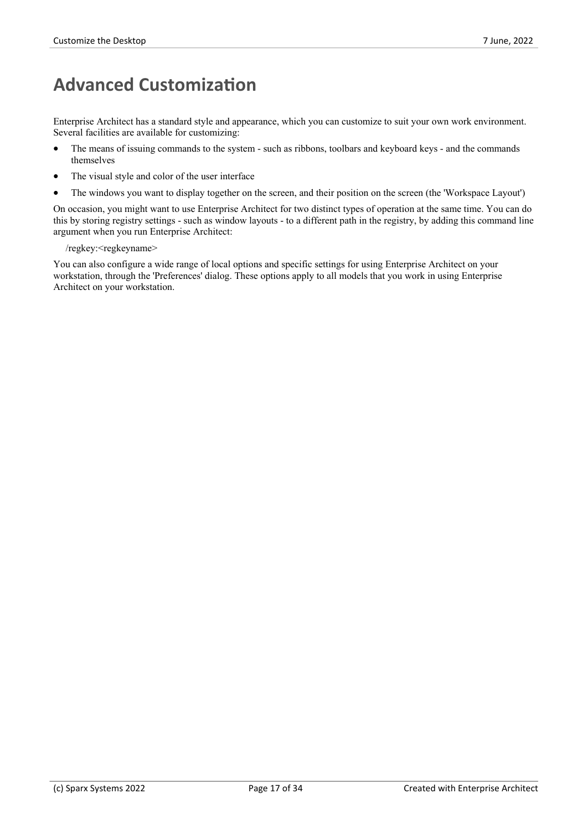### **Advanced Customization**

Enterprise Architect has a standard style and appearance, which you can customize to suit your own work environment. Several facilities are available for customizing:

- The means of issuing commands to the system such as ribbons, toolbars and keyboard keys and the commands themselves
- The visual style and color of the user interface
- The windows you want to display together on the screen, and their position on the screen (the 'Workspace Layout')

On occasion, you might want to use Enterprise Architect for two distinct types of operation at the same time. You can do this by storing registry settings - such as window layouts - to a different path in the registry, by adding this command line argument when you run Enterprise Architect:

/regkey:<regkeyname>

You can also configure a wide range of local options and specific settings for using Enterprise Architect on your workstation, through the 'Preferences' dialog. These options apply to all models that you work in using Enterprise Architect on your workstation.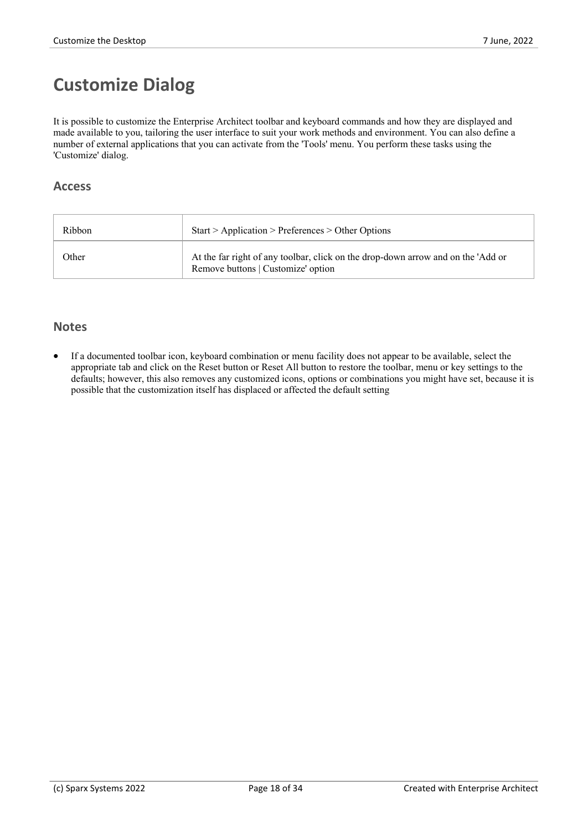# **Customize Dialog**

It is possible to customize the Enterprise Architect toolbar and keyboard commands and how they are displayed and made available to you, tailoring the user interface to suit your work methods and environment. You can also define a number of external applications that you can activate from the 'Tools' menu. You perform these tasks using the 'Customize' dialog.

#### **Access**

| Ribbon | Start > Application > Preferences > Other Options                                                                      |
|--------|------------------------------------------------------------------------------------------------------------------------|
| Other  | At the far right of any toolbar, click on the drop-down arrow and on the 'Add or<br>Remove buttons   Customize' option |

#### **Notes**

If a documented toolbar icon, keyboard combination or menu facility does not appear to be available, select the appropriate tab and click on the Reset button or Reset All button to restore the toolbar, menu or key settings to the defaults; however, this also removes any customized icons, options orcombinations you might have set, because it is possible that the customization itself has displaced or affected the default setting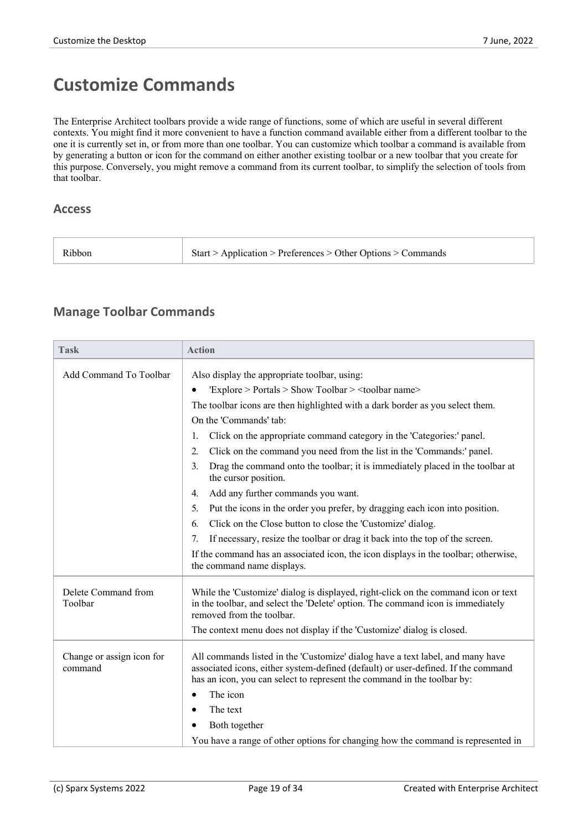### **Customize Commands**

The Enterprise Architect toolbars provide a wide range of functions, some of which are useful in several different contexts. You might find it more convenient to have a function command available either from a different toolbar to the one it is currently set in, or from more than one toolbar. You can customize which toolbar a command is available from by generating a button or icon for the command on either another existing toolbar or a new toolbar that you create for this purpose. Conversely, you might remove a command from its current toolbar, to simplify the selection of tools from that toolbar.

#### **Access**

| Ribbon | $\upbeta$ Start > Application > Preferences > Other Options > Commands |
|--------|------------------------------------------------------------------------|
|        |                                                                        |

#### **Manage Toolbar Commands**

| <b>Task</b>                          | <b>Action</b>                                                                                                                                                                                                                                  |
|--------------------------------------|------------------------------------------------------------------------------------------------------------------------------------------------------------------------------------------------------------------------------------------------|
| Add Command To Toolbar               | Also display the appropriate toolbar, using:                                                                                                                                                                                                   |
|                                      | 'Explore > Portals > Show Toolbar > <toolbar name=""></toolbar>                                                                                                                                                                                |
|                                      | The toolbar icons are then highlighted with a dark border as you select them.                                                                                                                                                                  |
|                                      | On the 'Commands' tab:                                                                                                                                                                                                                         |
|                                      | Click on the appropriate command category in the 'Categories:' panel.<br>1.                                                                                                                                                                    |
|                                      | Click on the command you need from the list in the 'Commands:' panel.<br>2.                                                                                                                                                                    |
|                                      | Drag the command onto the toolbar; it is immediately placed in the toolbar at<br>$\mathfrak{Z}$ .<br>the cursor position.                                                                                                                      |
|                                      | Add any further commands you want.<br>4.                                                                                                                                                                                                       |
|                                      | Put the icons in the order you prefer, by dragging each icon into position.<br>5.                                                                                                                                                              |
|                                      | Click on the Close button to close the 'Customize' dialog.<br>6.                                                                                                                                                                               |
|                                      | If necessary, resize the toolbar or drag it back into the top of the screen.<br>7.                                                                                                                                                             |
|                                      | If the command has an associated icon, the icon displays in the toolbar; otherwise,<br>the command name displays.                                                                                                                              |
| Delete Command from<br>Toolbar       | While the 'Customize' dialog is displayed, right-click on the command icon or text<br>in the toolbar, and select the 'Delete' option. The command icon is immediately<br>removed from the toolbar.                                             |
|                                      | The context menu does not display if the 'Customize' dialog is closed.                                                                                                                                                                         |
| Change or assign icon for<br>command | All commands listed in the 'Customize' dialog have a text label, and many have<br>associated icons, either system-defined (default) or user-defined. If the command<br>has an icon, you can select to represent the command in the toolbar by: |
|                                      | The icon                                                                                                                                                                                                                                       |
|                                      | The text                                                                                                                                                                                                                                       |
|                                      | Both together                                                                                                                                                                                                                                  |
|                                      | You have a range of other options for changing how the command is represented in                                                                                                                                                               |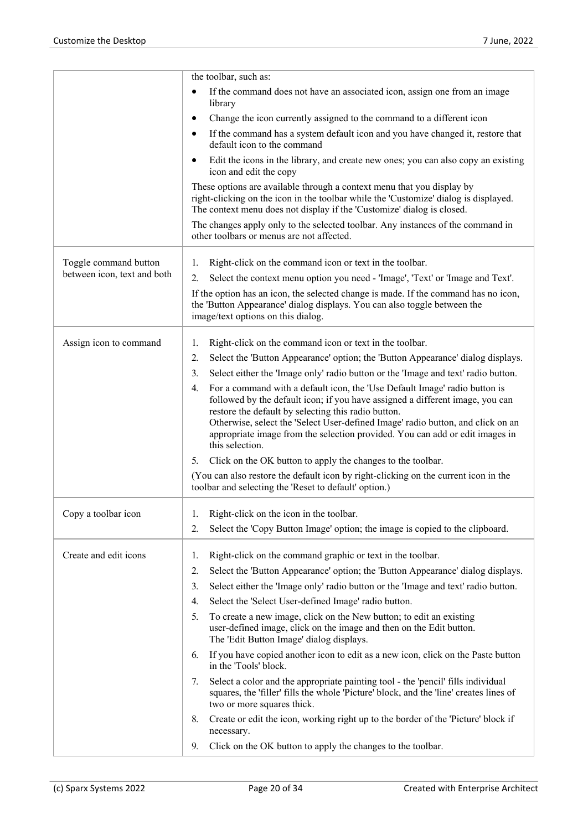|                             | the toolbar, such as:                                                                                                                                                                                                                                                                                                                                                                                          |
|-----------------------------|----------------------------------------------------------------------------------------------------------------------------------------------------------------------------------------------------------------------------------------------------------------------------------------------------------------------------------------------------------------------------------------------------------------|
|                             | If the command does not have an associated icon, assign one from an image<br>$\bullet$<br>library                                                                                                                                                                                                                                                                                                              |
|                             | Change the icon currently assigned to the command to a different icon<br>$\bullet$                                                                                                                                                                                                                                                                                                                             |
|                             | If the command has a system default icon and you have changed it, restore that<br>$\bullet$<br>default icon to the command                                                                                                                                                                                                                                                                                     |
|                             | Edit the icons in the library, and create new ones; you can also copy an existing<br>$\bullet$<br>icon and edit the copy                                                                                                                                                                                                                                                                                       |
|                             | These options are available through a context menu that you display by<br>right-clicking on the icon in the toolbar while the 'Customize' dialog is displayed.<br>The context menu does not display if the 'Customize' dialog is closed.                                                                                                                                                                       |
|                             | The changes apply only to the selected toolbar. Any instances of the command in<br>other toolbars or menus are not affected.                                                                                                                                                                                                                                                                                   |
| Toggle command button       | Right-click on the command icon or text in the toolbar.<br>1.                                                                                                                                                                                                                                                                                                                                                  |
| between icon, text and both | Select the context menu option you need - 'Image', 'Text' or 'Image and Text'.<br>2.                                                                                                                                                                                                                                                                                                                           |
|                             | If the option has an icon, the selected change is made. If the command has no icon,<br>the 'Button Appearance' dialog displays. You can also toggle between the<br>image/text options on this dialog.                                                                                                                                                                                                          |
| Assign icon to command      | Right-click on the command icon or text in the toolbar.<br>1.                                                                                                                                                                                                                                                                                                                                                  |
|                             | Select the 'Button Appearance' option; the 'Button Appearance' dialog displays.<br>2.                                                                                                                                                                                                                                                                                                                          |
|                             | Select either the 'Image only' radio button or the 'Image and text' radio button.<br>3.                                                                                                                                                                                                                                                                                                                        |
|                             | For a command with a default icon, the 'Use Default Image' radio button is<br>4.<br>followed by the default icon; if you have assigned a different image, you can<br>restore the default by selecting this radio button.<br>Otherwise, select the 'Select User-defined Image' radio button, and click on an<br>appropriate image from the selection provided. You can add or edit images in<br>this selection. |
|                             | Click on the OK button to apply the changes to the toolbar.<br>5.                                                                                                                                                                                                                                                                                                                                              |
|                             | (You can also restore the default icon by right-clicking on the current icon in the<br>toolbar and selecting the 'Reset to default' option.)                                                                                                                                                                                                                                                                   |
| Copy a toolbar icon         | Right-click on the icon in the toolbar.<br>1.                                                                                                                                                                                                                                                                                                                                                                  |
|                             | Select the 'Copy Button Image' option; the image is copied to the clipboard.<br>2.                                                                                                                                                                                                                                                                                                                             |
| Create and edit icons       | Right-click on the command graphic or text in the toolbar.<br>1.                                                                                                                                                                                                                                                                                                                                               |
|                             | Select the 'Button Appearance' option; the 'Button Appearance' dialog displays.<br>2.                                                                                                                                                                                                                                                                                                                          |
|                             | Select either the 'Image only' radio button or the 'Image and text' radio button.<br>3.                                                                                                                                                                                                                                                                                                                        |
|                             | Select the 'Select User-defined Image' radio button.<br>4.                                                                                                                                                                                                                                                                                                                                                     |
|                             | To create a new image, click on the New button; to edit an existing<br>5.<br>user-defined image, click on the image and then on the Edit button.<br>The 'Edit Button Image' dialog displays.                                                                                                                                                                                                                   |
|                             | If you have copied another icon to edit as a new icon, click on the Paste button<br>6.<br>in the 'Tools' block.                                                                                                                                                                                                                                                                                                |
|                             | Select a color and the appropriate painting tool - the 'pencil' fills individual<br>7.<br>squares, the 'filler' fills the whole 'Picture' block, and the 'line' creates lines of<br>two or more squares thick.                                                                                                                                                                                                 |
|                             | Create or edit the icon, working right up to the border of the 'Picture' block if<br>8.<br>necessary.                                                                                                                                                                                                                                                                                                          |
|                             | Click on the OK button to apply the changes to the toolbar.<br>9.                                                                                                                                                                                                                                                                                                                                              |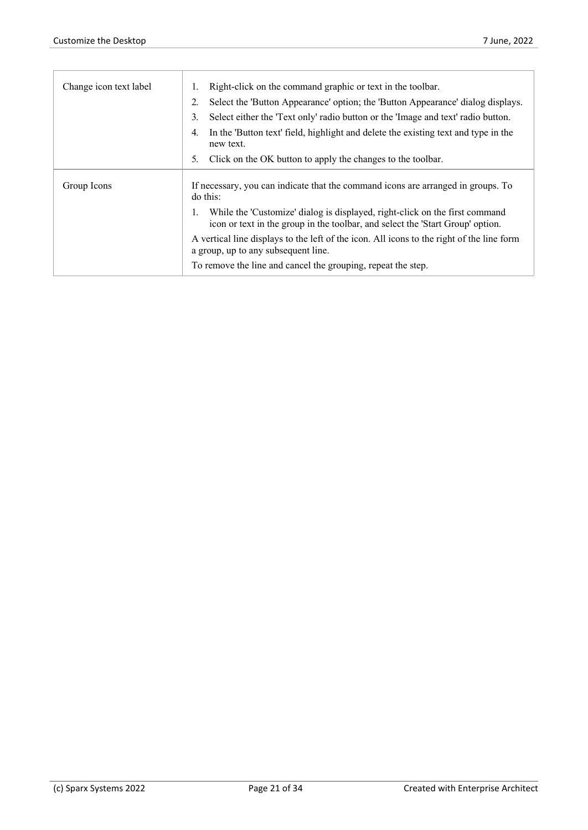| Change icon text label | Right-click on the command graphic or text in the toolbar.                                                                                                    |
|------------------------|---------------------------------------------------------------------------------------------------------------------------------------------------------------|
|                        | Select the 'Button Appearance' option; the 'Button Appearance' dialog displays.                                                                               |
|                        | Select either the 'Text only' radio button or the 'Image and text' radio button.<br>3.                                                                        |
|                        | In the 'Button text' field, highlight and delete the existing text and type in the<br>4.<br>new text.                                                         |
|                        | Click on the OK button to apply the changes to the toolbar.<br>5.                                                                                             |
| Group Icons            | If necessary, you can indicate that the command icons are arranged in groups. To<br>do this:                                                                  |
|                        | While the 'Customize' dialog is displayed, right-click on the first command<br>icon or text in the group in the toolbar, and select the 'Start Group' option. |
|                        | A vertical line displays to the left of the icon. All icons to the right of the line form<br>a group, up to any subsequent line.                              |
|                        | To remove the line and cancel the grouping, repeat the step.                                                                                                  |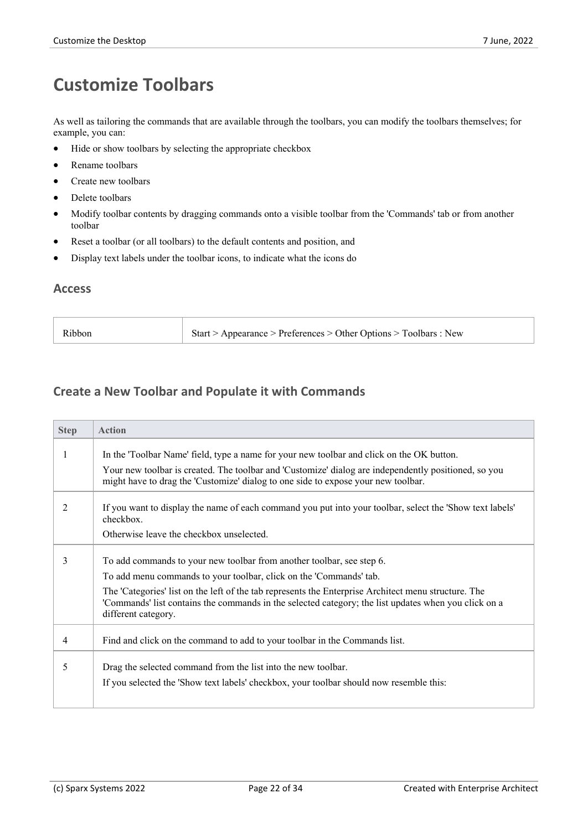## **Customize Toolbars**

As well as tailoring the commands that are available through the toolbars, you can modify the toolbars themselves; for example, you can:

- Hide or show toolbars by selecting the appropriate checkbox
- · Rename toolbars
- Create new toolbars
- Delete toolbars
- · Modify toolbar contents by dragging commands onto a visible toolbar from the 'Commands' tab or from another toolbar
- Reset a toolbar (or all toolbars) to the default contents and position, and
- · Display text labels under the toolbar icons, to indicate what the icons do

#### **Access**

| Start > Appearance > Preferences > Other Options > Toolbars : New<br>Ribbon |  |
|-----------------------------------------------------------------------------|--|
|-----------------------------------------------------------------------------|--|

#### **Create a New Toolbar and Populate it with Commands**

| <b>Action</b>                                                                                                                                                                                                                                                                                                                                                                      |
|------------------------------------------------------------------------------------------------------------------------------------------------------------------------------------------------------------------------------------------------------------------------------------------------------------------------------------------------------------------------------------|
| In the 'Toolbar Name' field, type a name for your new toolbar and click on the OK button.                                                                                                                                                                                                                                                                                          |
| Your new toolbar is created. The toolbar and 'Customize' dialog are independently positioned, so you<br>might have to drag the 'Customize' dialog to one side to expose your new toolbar.                                                                                                                                                                                          |
| If you want to display the name of each command you put into your toolbar, select the 'Show text labels'<br>checkbox.                                                                                                                                                                                                                                                              |
| Otherwise leave the checkbox unselected.                                                                                                                                                                                                                                                                                                                                           |
| To add commands to your new toolbar from another toolbar, see step 6.<br>To add menu commands to your toolbar, click on the 'Commands' tab.<br>The 'Categories' list on the left of the tab represents the Enterprise Architect menu structure. The<br>'Commands' list contains the commands in the selected category; the list updates when you click on a<br>different category. |
| Find and click on the command to add to your toolbar in the Commands list.                                                                                                                                                                                                                                                                                                         |
| Drag the selected command from the list into the new toolbar.<br>If you selected the 'Show text labels' checkbox, your toolbar should now resemble this:                                                                                                                                                                                                                           |
|                                                                                                                                                                                                                                                                                                                                                                                    |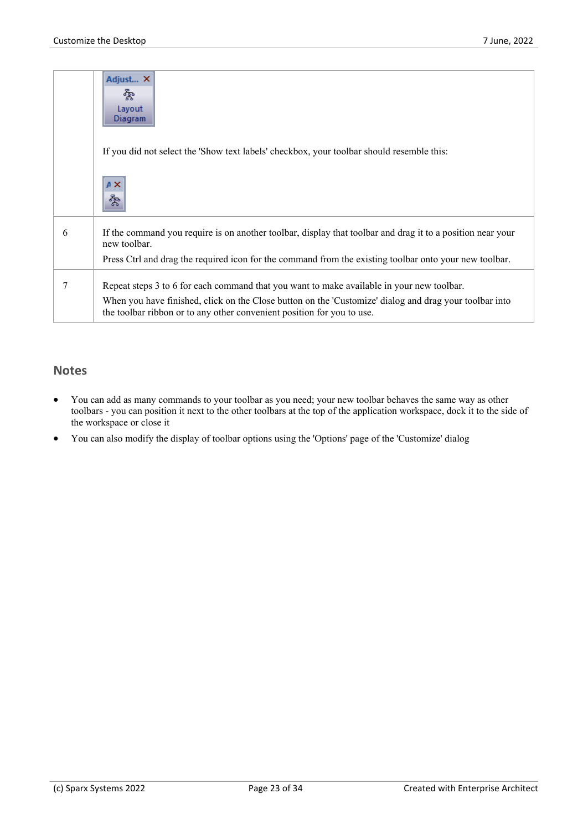|   | Adjust X<br>ಷ್ಟಿ<br>Layout<br>Diagram                                                                                                                                                                                                                                         |  |
|---|-------------------------------------------------------------------------------------------------------------------------------------------------------------------------------------------------------------------------------------------------------------------------------|--|
|   | If you did not select the 'Show text labels' checkbox, your toolbar should resemble this:                                                                                                                                                                                     |  |
|   | $A \times$<br>శ్వీ                                                                                                                                                                                                                                                            |  |
| 6 | If the command you require is on another toolbar, display that toolbar and drag it to a position near your<br>new toolbar.                                                                                                                                                    |  |
|   | Press Ctrl and drag the required icon for the command from the existing toolbar onto your new toolbar.                                                                                                                                                                        |  |
| 7 | Repeat steps 3 to 6 for each command that you want to make available in your new toolbar.<br>When you have finished, click on the Close button on the 'Customize' dialog and drag your toolbar into<br>the toolbar ribbon or to any other convenient position for you to use. |  |

#### **Notes**

- · You can add as many commands to your toolbar as you need; your new toolbar behaves the same way as other toolbars - you can position it next to the other toolbars at the top of the application workspace, dock it to the side of the workspace or close it
- · You can also modify the display of toolbar options using the 'Options' page of the 'Customize' dialog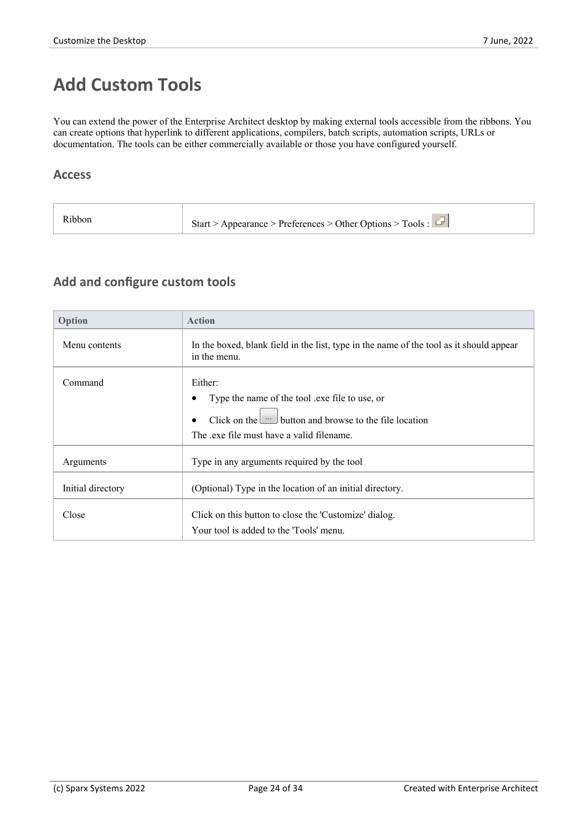### **Add Custom Tools**

You can extend the power of the Enterprise Architect desktop by making external tools accessible from the ribbons. You can create options that hyperlink to different applications, compilers, batch scripts, automation scripts, URLs or documentation. The tools can be either commercially available or those you have configured yourself.

#### **Access**

| Ribbon | Start > Appearance > Preferences > Other Options > Tools : $\Box$ |
|--------|-------------------------------------------------------------------|
|--------|-------------------------------------------------------------------|

#### **Add and configure custom tools**

| Option                                                                                                                                                                         | <b>Action</b>                                                                                           |  |
|--------------------------------------------------------------------------------------------------------------------------------------------------------------------------------|---------------------------------------------------------------------------------------------------------|--|
| Menu contents                                                                                                                                                                  | In the boxed, blank field in the list, type in the name of the tool as it should appear<br>in the menu. |  |
| Command<br>Either:<br>Type the name of the tool .exe file to use, or<br>Click on the $\Box$ button and browse to the file location<br>The exe file must have a valid filename. |                                                                                                         |  |
| Type in any arguments required by the tool<br>Arguments                                                                                                                        |                                                                                                         |  |
| (Optional) Type in the location of an initial directory.<br>Initial directory                                                                                                  |                                                                                                         |  |
| Close<br>Click on this button to close the 'Customize' dialog.<br>Your tool is added to the 'Tools' menu.                                                                      |                                                                                                         |  |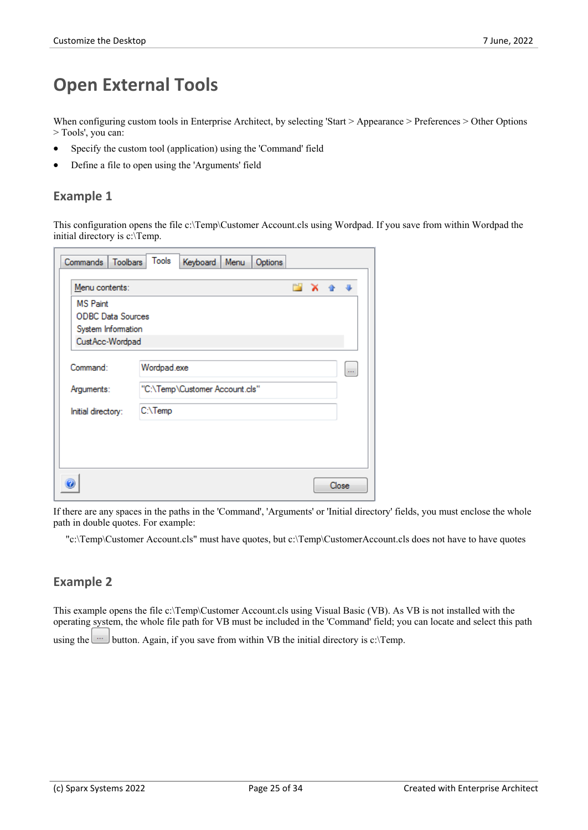### **Open External Tools**

When configuring custom tools in Enterprise Architect, by selecting 'Start > Appearance > Preferences > Other Options > Tools', you can:

- Specify the custom tool (application) using the 'Command' field
- Define a file to open using the 'Arguments' field

#### **Example 1**

This configuration opens the file c:\Temp\Customer Account.cls using Wordpad. If you save from within Wordpad the initial directory is c:\Temp.

| Toolbars<br>Commands                         | Tools<br>Keyboard<br>Menu | Options            |
|----------------------------------------------|---------------------------|--------------------|
| Menu contents:                               |                           | m.<br>$\mathbf{x}$ |
| <b>MS Paint</b>                              |                           |                    |
| <b>ODBC</b> Data Sources                     |                           |                    |
| System Information                           |                           |                    |
| CustAcc-Wordpad                              |                           |                    |
| Command:                                     | Wordpad.exe               | $\cdots$           |
| "C:\Temp\Customer Account.cls"<br>Arguments: |                           |                    |
| Initial directory:                           | C:\Temp                   |                    |
|                                              |                           |                    |
|                                              |                           |                    |
|                                              |                           |                    |
|                                              |                           |                    |
|                                              |                           | Close              |
|                                              |                           |                    |

If there are any spaces in the paths in the 'Command', 'Arguments' or 'Initial directory' fields, you must enclose the whole path in double quotes. For example:

"c:\Temp\Customer Account.cls" must have quotes, but c:\Temp\CustomerAccount.cls does not have to have quotes

#### **Example 2**

This example opens the file c:\Temp\Customer Account.cls using Visual Basic (VB). As VB is not installed with the operating system, the whole file path for VB must be included in the 'Command' field; you can locate and select this path using the button. Again, if you save from within VB the initial directory is c:\Temp.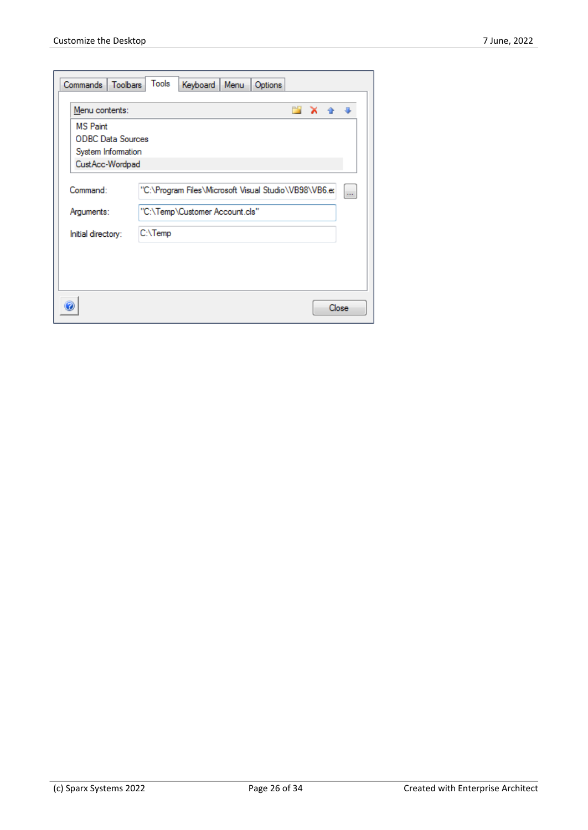| Commands   Toolbars      | Tools<br>Keyboard<br>Menu<br>Options                                                            |
|--------------------------|-------------------------------------------------------------------------------------------------|
| Menu contents:           | <b>X &amp; &amp;</b>                                                                            |
| <b>MS</b> Paint          |                                                                                                 |
| <b>ODBC Data Sources</b> |                                                                                                 |
| System Information       |                                                                                                 |
| CustAcc-Wordpad          |                                                                                                 |
| Command:<br>Arguments:   | "C:\Program Files\Microsoft Visual Studio\VB98\VB6.e: <br>in.<br>"C:\Temp\Customer Account.cls" |
| Initial directory:       | C:\Temp                                                                                         |
|                          | Close                                                                                           |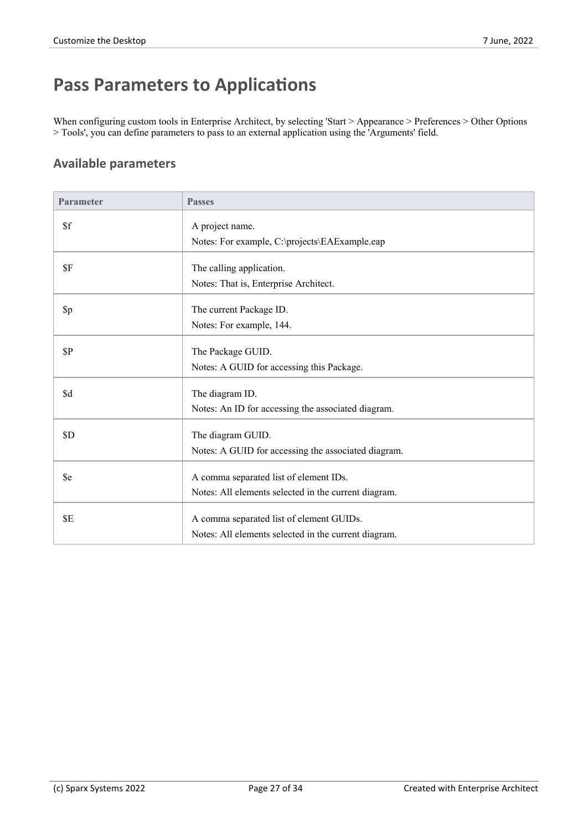### **Pass Parameters to Applications**

When configuring custom tools in Enterprise Architect, by selecting 'Start > Appearance > Preferences > Other Options > Tools', you can define parameters to pass to an external application using the 'Arguments' field.

#### **Available parameters**

| <b>Parameter</b>      | <b>Passes</b>                                                                                    |
|-----------------------|--------------------------------------------------------------------------------------------------|
| \$f                   | A project name.                                                                                  |
|                       | Notes: For example, C:\projects\EAExample.eap                                                    |
| \$F                   | The calling application.                                                                         |
|                       | Notes: That is, Enterprise Architect.                                                            |
| $\pmb{\mathfrak{sp}}$ | The current Package ID.                                                                          |
|                       | Notes: For example, 144.                                                                         |
| $\mathbb{S}P$         | The Package GUID.                                                                                |
|                       | Notes: A GUID for accessing this Package.                                                        |
| \$d                   | The diagram ID.                                                                                  |
|                       | Notes: An ID for accessing the associated diagram.                                               |
| \$D                   | The diagram GUID.                                                                                |
|                       | Notes: A GUID for accessing the associated diagram.                                              |
| \$e                   | A comma separated list of element IDs.                                                           |
|                       | Notes: All elements selected in the current diagram.                                             |
|                       |                                                                                                  |
| \$E                   | A comma separated list of element GUIDs.<br>Notes: All elements selected in the current diagram. |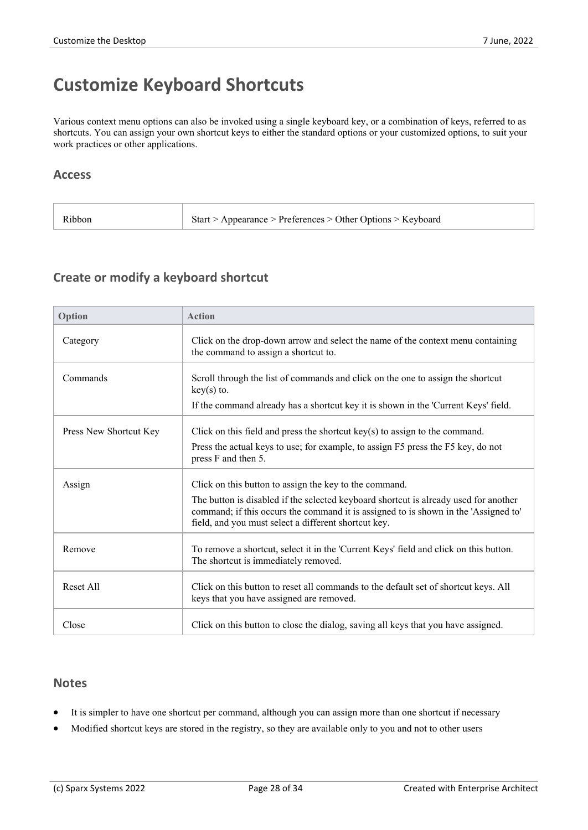### **Customize Keyboard Shortcuts**

Various context menu options can also be invoked using a single keyboard key, or a combination of keys, referred to as shortcuts. You can assign your own shortcut keys to either the standard options or your customized options, to suit your work practices or other applications.

#### **Access**

| Start > Appearance > Preferences > Other Options > Keyboard<br>Ribbon |  |
|-----------------------------------------------------------------------|--|
|-----------------------------------------------------------------------|--|

#### **Create or modify a keyboard shortcut**

| Option                 | <b>Action</b>                                                                                                                                                                                                                       |
|------------------------|-------------------------------------------------------------------------------------------------------------------------------------------------------------------------------------------------------------------------------------|
| Category               | Click on the drop-down arrow and select the name of the context menu containing<br>the command to assign a shortcut to.                                                                                                             |
| Commands               | Scroll through the list of commands and click on the one to assign the shortcut<br>$key(s)$ to.                                                                                                                                     |
|                        | If the command already has a shortcut key it is shown in the 'Current Keys' field.                                                                                                                                                  |
| Press New Shortcut Key | Click on this field and press the shortcut $key(s)$ to assign to the command.                                                                                                                                                       |
|                        | Press the actual keys to use; for example, to assign F5 press the F5 key, do not<br>press F and then 5.                                                                                                                             |
| Assign                 | Click on this button to assign the key to the command.                                                                                                                                                                              |
|                        | The button is disabled if the selected keyboard shortcut is already used for another<br>command; if this occurs the command it is assigned to is shown in the 'Assigned to'<br>field, and you must select a different shortcut key. |
| Remove                 | To remove a shortcut, select it in the 'Current Keys' field and click on this button.<br>The shortcut is immediately removed.                                                                                                       |
| Reset All              | Click on this button to reset all commands to the default set of shortcut keys. All<br>keys that you have assigned are removed.                                                                                                     |
| Close                  | Click on this button to close the dialog, saving all keys that you have assigned.                                                                                                                                                   |

#### **Notes**

- It is simpler to have one shortcut per command, although you can assign more than one shortcut if necessary
- · Modified shortcut keys are stored in the registry, so they are available only to you and not to other users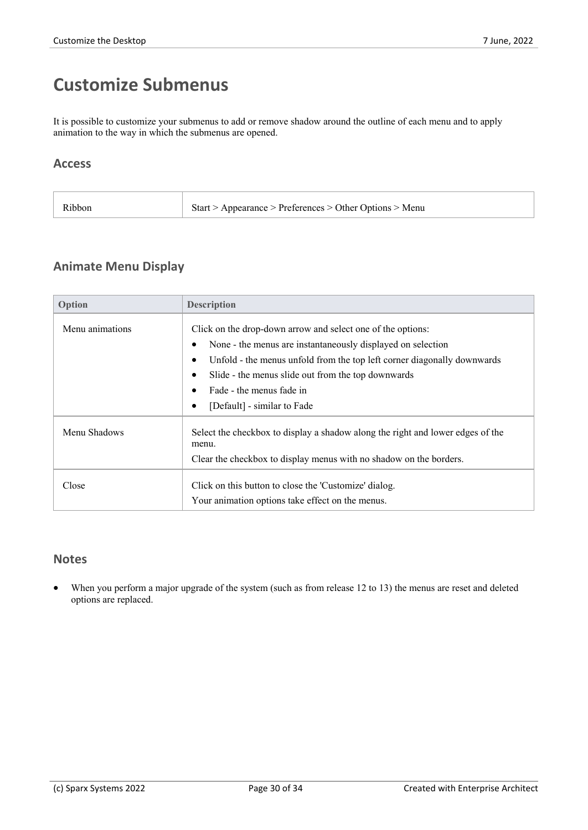### **Customize Submenus**

It is possible to customize your submenus to add or remove shadow around the outline of each menu and to apply animation to the way in which the submenus are opened.

#### **Access**

| Ribbon<br>Start > Appearance > Preferences > Other Options > Menu |  |
|-------------------------------------------------------------------|--|
|-------------------------------------------------------------------|--|

#### **Animate Menu Display**

| Option          | <b>Description</b>                                                                                                                                                                                                                                                                                                     |
|-----------------|------------------------------------------------------------------------------------------------------------------------------------------------------------------------------------------------------------------------------------------------------------------------------------------------------------------------|
| Menu animations | Click on the drop-down arrow and select one of the options:<br>None - the menus are instantaneously displayed on selection<br>Unfold - the menus unfold from the top left corner diagonally downwards<br>Slide - the menus slide out from the top downwards<br>Fade - the menus fade in<br>[Default] - similar to Fade |
| Menu Shadows    | Select the checkbox to display a shadow along the right and lower edges of the<br>menu.<br>Clear the checkbox to display menus with no shadow on the borders.                                                                                                                                                          |
| Close           | Click on this button to close the 'Customize' dialog.<br>Your animation options take effect on the menus.                                                                                                                                                                                                              |

#### **Notes**

When you perform a major upgrade of the system (such as from release 12 to 13) the menus are reset and deleted options are replaced.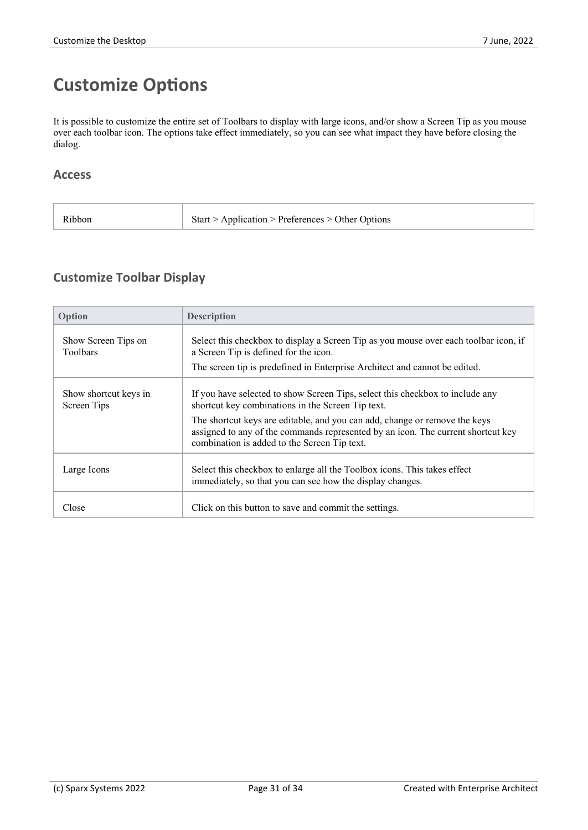# **Customize Options**

It is possible to customize the entire set of Toolbars to display with large icons, and/or show a Screen Tip as you mouse over each toolbar icon. The options take effect immediately, so you can see what impact they have before closing the dialog.

#### **Access**

| Ribbon | Start > Application > Preferences > Other Options |
|--------|---------------------------------------------------|
|--------|---------------------------------------------------|

### **Customize Toolbar Display**

| Option                                 | <b>Description</b>                                                                                                                                                                                             |
|----------------------------------------|----------------------------------------------------------------------------------------------------------------------------------------------------------------------------------------------------------------|
| Show Screen Tips on<br><b>Toolbars</b> | Select this checkbox to display a Screen Tip as you mouse over each toolbar icon, if<br>a Screen Tip is defined for the icon.<br>The screen tip is predefined in Enterprise Architect and cannot be edited.    |
| Show shortcut keys in<br>Screen Tips   | If you have selected to show Screen Tips, select this checkbox to include any<br>shortcut key combinations in the Screen Tip text.                                                                             |
|                                        | The shortcut keys are editable, and you can add, change or remove the keys<br>assigned to any of the commands represented by an icon. The current shortcut key<br>combination is added to the Screen Tip text. |
| Large Icons                            | Select this checkbox to enlarge all the Toolbox icons. This takes effect<br>immediately, so that you can see how the display changes.                                                                          |
| Close                                  | Click on this button to save and commit the settings.                                                                                                                                                          |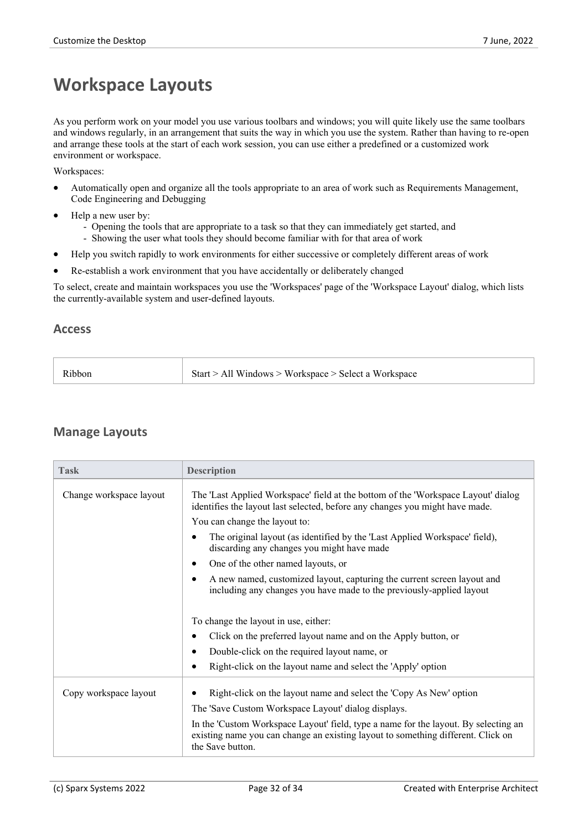### **Workspace Layouts**

As you perform work on your model you use various toolbars and windows; you will quite likely use the same toolbars and windows regularly, in an arrangement that suits the way in which you use the system. Rather than having to re-open and arrange these tools at the start of each work session, you can use either a predefined or a customized work environment or workspace.

Workspaces:

- · Automatically open and organize all the tools appropriate to an area of work such as Requirements Management, Code Engineering and Debugging
- Help a new user by:
	- Opening the tools that are appropriate to a task so that they can immediately get started, and
	- Showing the user what tools they should become familiar with for that area of work
- Help you switch rapidly to work environments for either successive or completely different areas of work
- Re-establish a work environment that you have accidentally or deliberately changed

To select, create and maintain workspaces you use the 'Workspaces' page of the 'Workspace Layout' dialog, which lists the currently-available system and user-defined layouts.

#### **Access**

| Start > All Windows > Workspace > Select a Workspace<br>R <sub>1</sub> bbon |
|-----------------------------------------------------------------------------|
|-----------------------------------------------------------------------------|

#### **Manage Layouts**

| <b>Task</b>             | <b>Description</b>                                                                                                                                                                          |
|-------------------------|---------------------------------------------------------------------------------------------------------------------------------------------------------------------------------------------|
| Change workspace layout | The 'Last Applied Workspace' field at the bottom of the 'Workspace Layout' dialog<br>identifies the layout last selected, before any changes you might have made.                           |
|                         | You can change the layout to:                                                                                                                                                               |
|                         | The original layout (as identified by the 'Last Applied Workspace' field),<br>$\epsilon$<br>discarding any changes you might have made                                                      |
|                         | One of the other named layouts, or<br>$\bullet$                                                                                                                                             |
|                         | A new named, customized layout, capturing the current screen layout and<br>$\bullet$<br>including any changes you have made to the previously-applied layout                                |
|                         | To change the layout in use, either:                                                                                                                                                        |
|                         | Click on the preferred layout name and on the Apply button, or<br>$\bullet$                                                                                                                 |
|                         | Double-click on the required layout name, or                                                                                                                                                |
|                         | Right-click on the layout name and select the 'Apply' option                                                                                                                                |
| Copy workspace layout   | Right-click on the layout name and select the 'Copy As New' option                                                                                                                          |
|                         | The 'Save Custom Workspace Layout' dialog displays.                                                                                                                                         |
|                         | In the 'Custom Workspace Layout' field, type a name for the layout. By selecting an<br>existing name you can change an existing layout to something different. Click on<br>the Save button. |